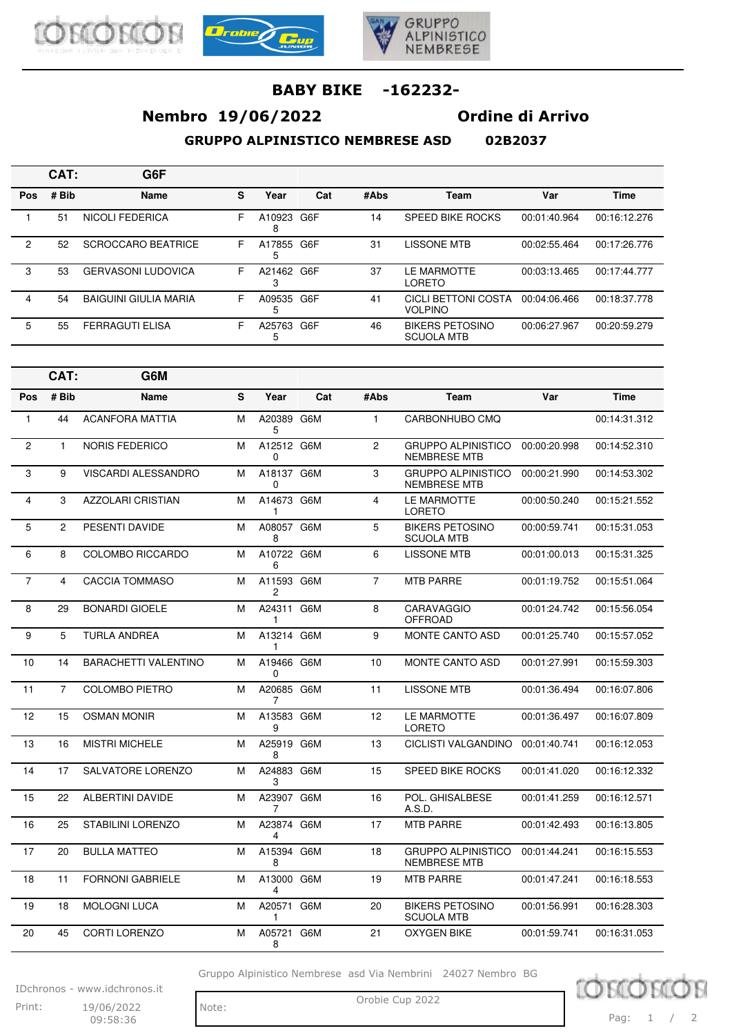





# **Nembro 19/06/2022 Ordine di Arrivo**

**GRUPPO ALPINISTICO NEMBRESE ASD 02B2037**

|  | 83B3837 |  |
|--|---------|--|

|     | CAT:  | G6F                          |   |                 |     |      |                                             |              |              |
|-----|-------|------------------------------|---|-----------------|-----|------|---------------------------------------------|--------------|--------------|
| Pos | # Bib | Name                         | s | Year            | Cat | #Abs | Team                                        | Var          | <b>Time</b>  |
|     | 51    | NICOLI FEDERICA              | F | A10923<br>8     | G6F | 14   | <b>SPEED BIKE ROCKS</b>                     | 00:01:40.964 | 00:16:12.276 |
| 2   | 52    | SCROCCARO BEATRICE           | F | A17855 G6F<br>5 |     | 31   | LISSONE MTB                                 | 00:02:55.464 | 00:17:26.776 |
| 3   | 53    | <b>GERVASONI LUDOVICA</b>    | F | A21462          | G6F | 37   | LE MARMOTTE<br>LORETO                       | 00:03:13.465 | 00:17:44.777 |
| 4   | 54    | <b>BAIGUINI GIULIA MARIA</b> | F | A09535<br>5     | G6F | 41   | CICLI BETTONI COSTA<br><b>VOLPINO</b>       | 00:04:06.466 | 00:18:37.778 |
| 5   | 55    | <b>FERRAGUTI ELISA</b>       | F | A25763          | G6F | 46   | <b>BIKERS PETOSINO</b><br><b>SCUOLA MTB</b> | 00:06:27.967 | 00:20:59.279 |

|                | CAT:           | G6M                         |   |                 |     |                |                                                  |              |              |
|----------------|----------------|-----------------------------|---|-----------------|-----|----------------|--------------------------------------------------|--------------|--------------|
| Pos            | # Bib          | <b>Name</b>                 | S | Year            | Cat | #Abs           | Team                                             | Var          | <b>Time</b>  |
| 1              | 44             | <b>ACANFORA MATTIA</b>      | м | A20389 G6M<br>5 |     | $\mathbf{1}$   | CARBONHUBO CMQ                                   |              | 00:14:31.312 |
| 2              | 1              | <b>NORIS FEDERICO</b>       | M | A12512 G6M<br>0 |     | $\overline{c}$ | <b>GRUPPO ALPINISTICO</b><br><b>NEMBRESE MTB</b> | 00:00:20.998 | 00:14:52.310 |
| 3              | 9              | <b>VISCARDI ALESSANDRO</b>  | м | A18137 G6M<br>0 |     | 3              | <b>GRUPPO ALPINISTICO</b><br><b>NEMBRESE MTB</b> | 00:00:21.990 | 00:14:53.302 |
| 4              | 3              | <b>AZZOLARI CRISTIAN</b>    | M | A14673 G6M<br>1 |     | $\overline{4}$ | LE MARMOTTE<br><b>LORETO</b>                     | 00:00:50.240 | 00:15:21.552 |
| 5              | $\overline{2}$ | PESENTI DAVIDE              | M | A08057 G6M<br>8 |     | 5              | <b>BIKERS PETOSINO</b><br><b>SCUOLA MTB</b>      | 00:00:59.741 | 00:15:31.053 |
| 6              | 8              | <b>COLOMBO RICCARDO</b>     | M | A10722 G6M<br>6 |     | 6              | <b>LISSONE MTB</b>                               | 00:01:00.013 | 00:15:31.325 |
| $\overline{7}$ | 4              | <b>CACCIA TOMMASO</b>       | м | A11593 G6M<br>2 |     | $\overline{7}$ | <b>MTB PARRE</b>                                 | 00:01:19.752 | 00:15:51.064 |
| 8              | 29             | <b>BONARDI GIOELE</b>       | M | A24311 G6M<br>1 |     | 8              | <b>CARAVAGGIO</b><br><b>OFFROAD</b>              | 00:01:24.742 | 00:15:56.054 |
| 9              | 5              | <b>TURLA ANDREA</b>         | M | A13214 G6M<br>1 |     | 9              | <b>MONTE CANTO ASD</b>                           | 00:01:25.740 | 00:15:57.052 |
| 10             | 14             | <b>BARACHETTI VALENTINO</b> | м | A19466 G6M<br>0 |     | 10             | <b>MONTE CANTO ASD</b>                           | 00:01:27.991 | 00:15:59.303 |
| 11             | $\overline{7}$ | <b>COLOMBO PIETRO</b>       | M | A20685 G6M<br>7 |     | 11             | <b>LISSONE MTB</b>                               | 00:01:36.494 | 00:16:07.806 |
| 12             | 15             | <b>OSMAN MONIR</b>          | M | A13583 G6M<br>9 |     | 12             | LE MARMOTTE<br><b>LORETO</b>                     | 00:01:36.497 | 00:16:07.809 |
| 13             | 16             | <b>MISTRI MICHELE</b>       | M | A25919 G6M<br>8 |     | 13             | <b>CICLISTI VALGANDINO</b>                       | 00:01:40.741 | 00:16:12.053 |
| 14             | 17             | SALVATORE LORENZO           | M | A24883 G6M<br>3 |     | 15             | <b>SPEED BIKE ROCKS</b>                          | 00:01:41.020 | 00:16:12.332 |
| 15             | 22             | <b>ALBERTINI DAVIDE</b>     | M | A23907 G6M<br>7 |     | 16             | POL. GHISALBESE<br>A.S.D.                        | 00:01:41.259 | 00:16:12.571 |
| 16             | 25             | STABILINI LORENZO           | M | A23874 G6M<br>4 |     | 17             | <b>MTB PARRE</b>                                 | 00:01:42.493 | 00:16:13.805 |
| 17             | 20             | <b>BULLA MATTEO</b>         | м | A15394 G6M<br>8 |     | 18             | <b>GRUPPO ALPINISTICO</b><br><b>NEMBRESE MTB</b> | 00:01:44.241 | 00:16:15.553 |
| 18             | 11             | <b>FORNONI GABRIELE</b>     | M | A13000 G6M<br>4 |     | 19             | <b>MTB PARRE</b>                                 | 00:01:47.241 | 00:16:18.553 |
| 19             | 18             | <b>MOLOGNI LUCA</b>         | м | A20571 G6M<br>1 |     | 20             | <b>BIKERS PETOSINO</b><br><b>SCUOLA MTB</b>      | 00:01:56.991 | 00:16:28.303 |
| 20             | 45             | <b>CORTI LORENZO</b>        | M | A05721 G6M<br>8 |     | 21             | <b>OXYGEN BIKE</b>                               | 00:01:59.741 | 00:16:31.053 |

Gruppo Alpinistico Nembrese asd Via Nembrini 24027 Nembro BG

IDchronos - www.idchronos.it Print: 19/06/2022 Note: Orobie Cup 2022 19/06/2022

09:58:36

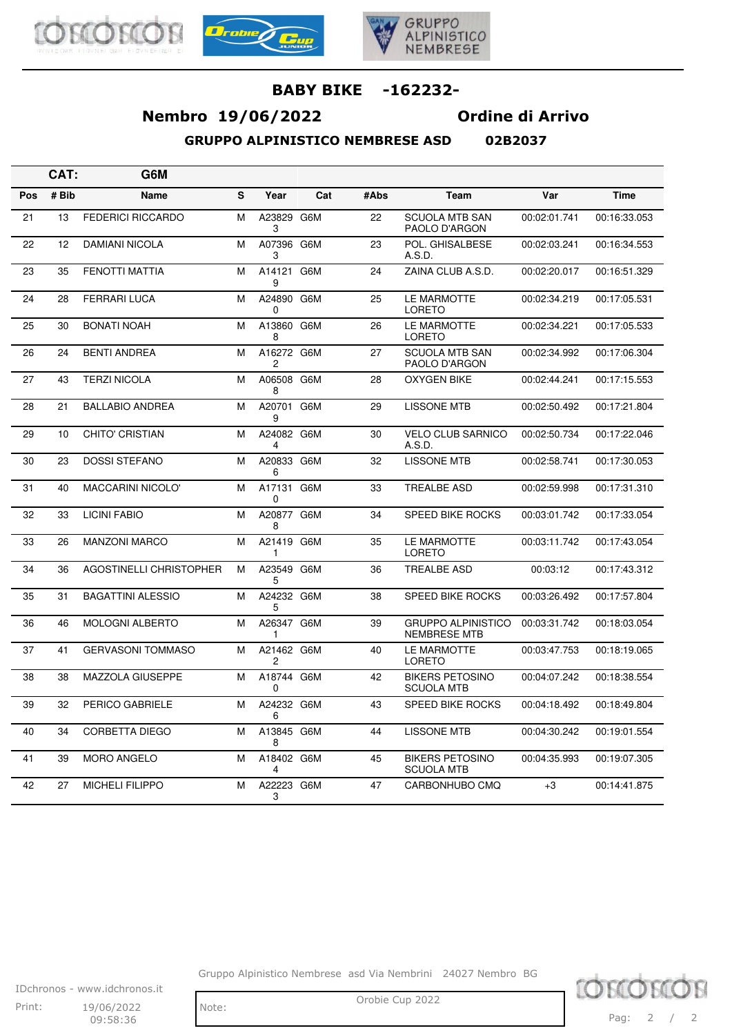





# **Nembro 19/06/2022 Ordine di Arrivo**

**GRUPPO ALPINISTICO NEMBRESE ASD 02B2037**

|     | CAT:  | G6M                            |   |                        |     |      |                                                  |              |              |
|-----|-------|--------------------------------|---|------------------------|-----|------|--------------------------------------------------|--------------|--------------|
| Pos | # Bib | Name                           | S | Year                   | Cat | #Abs | Team                                             | Var          | <b>Time</b>  |
| 21  | 13    | <b>FEDERICI RICCARDO</b>       | М | A23829 G6M<br>3        |     | 22   | <b>SCUOLA MTB SAN</b><br>PAOLO D'ARGON           | 00:02:01.741 | 00:16:33.053 |
| 22  | 12    | <b>DAMIANI NICOLA</b>          | M | A07396 G6M<br>3        |     | 23   | POL. GHISALBESE<br>A.S.D.                        | 00:02:03.241 | 00:16:34.553 |
| 23  | 35    | <b>FENOTTI MATTIA</b>          | М | A14121 G6M<br>9        |     | 24   | ZAINA CLUB A.S.D.                                | 00:02:20.017 | 00:16:51.329 |
| 24  | 28    | <b>FERRARI LUCA</b>            | М | A24890 G6M<br>$\Omega$ |     | 25   | LE MARMOTTE<br><b>LORETO</b>                     | 00:02:34.219 | 00:17:05.531 |
| 25  | 30    | <b>BONATI NOAH</b>             | М | A13860 G6M<br>8        |     | 26   | LE MARMOTTE<br><b>LORETO</b>                     | 00:02:34.221 | 00:17:05.533 |
| 26  | 24    | <b>BENTI ANDREA</b>            | M | A16272 G6M<br>2        |     | 27   | <b>SCUOLA MTB SAN</b><br>PAOLO D'ARGON           | 00:02:34.992 | 00:17:06.304 |
| 27  | 43    | <b>TERZI NICOLA</b>            | M | A06508 G6M<br>8        |     | 28   | <b>OXYGEN BIKE</b>                               | 00:02:44.241 | 00:17:15.553 |
| 28  | 21    | <b>BALLABIO ANDREA</b>         | М | A20701 G6M<br>9        |     | 29   | <b>LISSONE MTB</b>                               | 00:02:50.492 | 00:17:21.804 |
| 29  | 10    | <b>CHITO' CRISTIAN</b>         | М | A24082 G6M<br>4        |     | 30   | <b>VELO CLUB SARNICO</b><br>A.S.D.               | 00:02:50.734 | 00:17:22.046 |
| 30  | 23    | <b>DOSSI STEFANO</b>           | M | A20833 G6M<br>6        |     | 32   | <b>LISSONE MTB</b>                               | 00:02:58.741 | 00:17:30.053 |
| 31  | 40    | MACCARINI NICOLO'              | M | A17131 G6M<br>0        |     | 33   | <b>TREALBE ASD</b>                               | 00:02:59.998 | 00:17:31.310 |
| 32  | 33    | <b>LICINI FABIO</b>            | М | A20877 G6M<br>8        |     | 34   | <b>SPEED BIKE ROCKS</b>                          | 00:03:01.742 | 00:17:33.054 |
| 33  | 26    | <b>MANZONI MARCO</b>           | M | A21419 G6M<br>1        |     | 35   | LE MARMOTTE<br><b>LORETO</b>                     | 00:03:11.742 | 00:17:43.054 |
| 34  | 36    | <b>AGOSTINELLI CHRISTOPHER</b> | M | A23549 G6M<br>5        |     | 36   | <b>TREALBE ASD</b>                               | 00:03:12     | 00:17:43.312 |
| 35  | 31    | <b>BAGATTINI ALESSIO</b>       | M | A24232 G6M<br>5        |     | 38   | <b>SPEED BIKE ROCKS</b>                          | 00:03:26.492 | 00:17:57.804 |
| 36  | 46    | <b>MOLOGNI ALBERTO</b>         | M | A26347 G6M<br>1        |     | 39   | <b>GRUPPO ALPINISTICO</b><br><b>NEMBRESE MTB</b> | 00:03:31.742 | 00:18:03.054 |
| 37  | 41    | <b>GERVASONI TOMMASO</b>       | M | A21462 G6M<br>2        |     | 40   | LE MARMOTTE<br><b>LORETO</b>                     | 00:03:47.753 | 00:18:19.065 |
| 38  | 38    | MAZZOLA GIUSEPPE               | M | A18744 G6M<br>0        |     | 42   | <b>BIKERS PETOSINO</b><br><b>SCUOLA MTB</b>      | 00:04:07.242 | 00:18:38.554 |
| 39  | 32    | PERICO GABRIELE                | М | A24232 G6M<br>6        |     | 43   | <b>SPEED BIKE ROCKS</b>                          | 00:04:18.492 | 00:18:49.804 |
| 40  | 34    | <b>CORBETTA DIEGO</b>          | М | A13845 G6M<br>8        |     | 44   | <b>LISSONE MTB</b>                               | 00:04:30.242 | 00:19:01.554 |
| 41  | 39    | <b>MORO ANGELO</b>             | M | A18402 G6M<br>4        |     | 45   | <b>BIKERS PETOSINO</b><br><b>SCUOLA MTB</b>      | 00:04:35.993 | 00:19:07.305 |
| 42  | 27    | <b>MICHELI FILIPPO</b>         | М | A22223 G6M<br>3        |     | 47   | CARBONHUBO CMQ                                   | $+3$         | 00:14:41.875 |

Gruppo Alpinistico Nembrese asd Via Nembrini 24027 Nembro BG

IDchronos - www.idchronos.it Print: 19/06/2022 Note: Orobie Cup 2022 19/06/2022  $09:58:36$ 

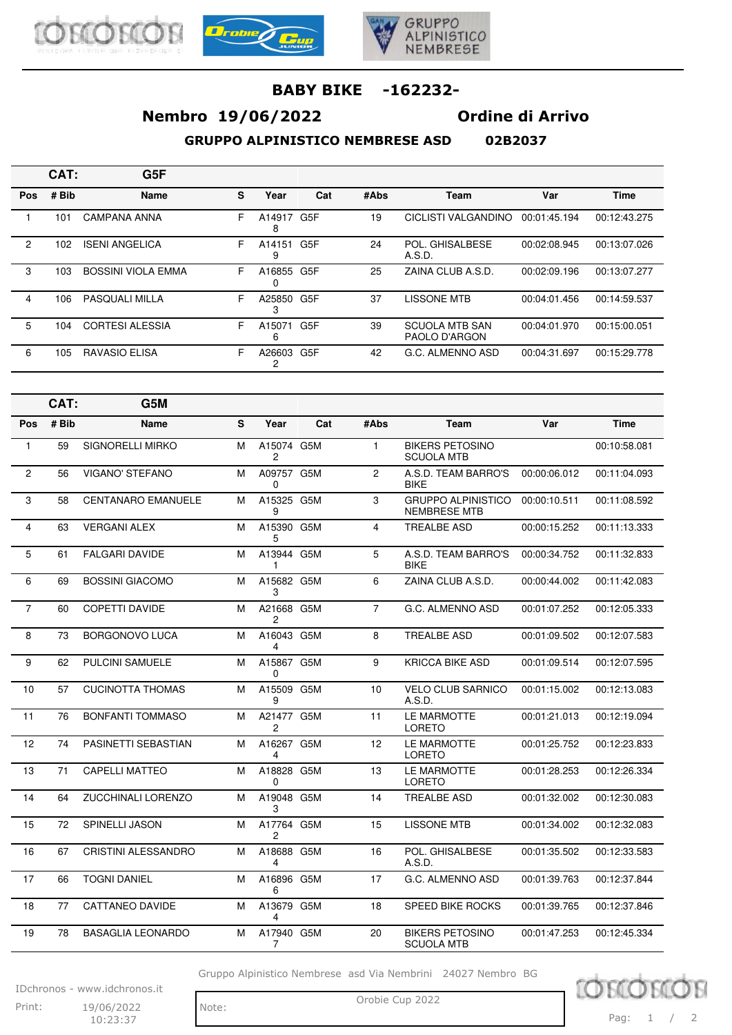





# **Nembro 19/06/2022 Ordine di Arrivo**

**GRUPPO ALPINISTICO NEMBRESE ASD 02B2037**

|                | CAT:  | G <sub>5F</sub>           |   |             |                  |      |                                        |              |              |
|----------------|-------|---------------------------|---|-------------|------------------|------|----------------------------------------|--------------|--------------|
| <b>Pos</b>     | # Bib | <b>Name</b>               | S | Year        | Cat              | #Abs | Team                                   | Var          | <b>Time</b>  |
|                | 101   | <b>CAMPANA ANNA</b>       | F | A14917<br>8 | G <sub>5</sub> F | 19   | CICLISTI VALGANDINO                    | 00:01:45.194 | 00:12:43.275 |
| $\overline{2}$ | 102   | <b>ISENI ANGELICA</b>     | F | A14151<br>9 | G <sub>5</sub> F | 24   | POL. GHISALBESE<br>A.S.D.              | 00:02:08.945 | 00:13:07.026 |
| 3              | 103   | <b>BOSSINI VIOLA EMMA</b> | F | A16855      | G <sub>5</sub> F | 25   | ZAINA CLUB A.S.D.                      | 00:02:09.196 | 00:13:07.277 |
| 4              | 106   | <b>PASQUALI MILLA</b>     | F | A25850<br>3 | G <sub>5</sub> F | 37   | <b>LISSONE MTB</b>                     | 00:04:01.456 | 00:14:59.537 |
| 5              | 104   | <b>CORTESI ALESSIA</b>    | F | A15071<br>6 | G <sub>5</sub> F | 39   | <b>SCUOLA MTB SAN</b><br>PAOLO D'ARGON | 00:04:01.970 | 00:15:00.051 |
| 6              | 105   | RAVASIO ELISA             | F | A26603      | G <sub>5</sub> F | 42   | G.C. ALMENNO ASD                       | 00:04:31.697 | 00:15:29.778 |

|                | CAT:  | G5M                       |   |                              |     |                |                                                  |              |              |
|----------------|-------|---------------------------|---|------------------------------|-----|----------------|--------------------------------------------------|--------------|--------------|
| Pos            | # Bib | <b>Name</b>               | S | Year                         | Cat | #Abs           | Team                                             | Var          | <b>Time</b>  |
| 1              | 59    | SIGNORELLI MIRKO          | M | A15074 G5M<br>2              |     | $\mathbf{1}$   | <b>BIKERS PETOSINO</b><br><b>SCUOLA MTB</b>      |              | 00:10:58.081 |
| $\overline{2}$ | 56    | <b>VIGANO' STEFANO</b>    | M | A09757 G5M<br>0              |     | $\overline{2}$ | A.S.D. TEAM BARRO'S<br><b>BIKE</b>               | 00:00:06.012 | 00:11:04.093 |
| 3              | 58    | <b>CENTANARO EMANUELE</b> | M | A15325 G5M<br>9              |     | 3              | <b>GRUPPO ALPINISTICO</b><br><b>NEMBRESE MTB</b> | 00:00:10.511 | 00:11:08.592 |
| 4              | 63    | <b>VERGANI ALEX</b>       | M | A15390 G5M<br>5              |     | 4              | <b>TREALBE ASD</b>                               | 00:00:15.252 | 00:11:13.333 |
| 5              | 61    | <b>FALGARI DAVIDE</b>     | M | A13944 G5M<br>1              |     | 5              | A.S.D. TEAM BARRO'S<br><b>BIKE</b>               | 00:00:34.752 | 00:11:32.833 |
| 6              | 69    | <b>BOSSINI GIACOMO</b>    | M | A15682 G5M<br>3              |     | 6              | ZAINA CLUB A.S.D.                                | 00:00:44.002 | 00:11:42.083 |
| $\overline{7}$ | 60    | <b>COPETTI DAVIDE</b>     | M | A21668 G5M<br>$\overline{c}$ |     | $\overline{7}$ | G.C. ALMENNO ASD                                 | 00:01:07.252 | 00:12:05.333 |
| 8              | 73    | <b>BORGONOVO LUCA</b>     | M | A16043 G5M<br>4              |     | 8              | <b>TREALBE ASD</b>                               | 00:01:09.502 | 00:12:07.583 |
| 9              | 62    | <b>PULCINI SAMUELE</b>    | M | A15867 G5M<br>$\Omega$       |     | 9              | <b>KRICCA BIKE ASD</b>                           | 00:01:09.514 | 00:12:07.595 |
| 10             | 57    | <b>CUCINOTTA THOMAS</b>   | M | A15509 G5M<br>9              |     | 10             | <b>VELO CLUB SARNICO</b><br>A.S.D.               | 00:01:15.002 | 00:12:13.083 |
| 11             | 76    | <b>BONFANTI TOMMASO</b>   | M | A21477 G5M<br>$\overline{c}$ |     | 11             | LE MARMOTTE<br><b>LORETO</b>                     | 00:01:21.013 | 00:12:19.094 |
| 12             | 74    | PASINETTI SEBASTIAN       | M | A16267 G5M<br>4              |     | 12             | LE MARMOTTE<br><b>LORETO</b>                     | 00:01:25.752 | 00:12:23.833 |
| 13             | 71    | <b>CAPELLI MATTEO</b>     | M | A18828 G5M<br>0              |     | 13             | LE MARMOTTE<br><b>LORETO</b>                     | 00:01:28.253 | 00:12:26.334 |
| 14             | 64    | <b>ZUCCHINALI LORENZO</b> | M | A19048 G5M<br>3              |     | 14             | <b>TREALBE ASD</b>                               | 00:01:32.002 | 00:12:30.083 |
| 15             | 72    | <b>SPINELLI JASON</b>     | M | A17764 G5M<br>2              |     | 15             | <b>LISSONE MTB</b>                               | 00:01:34.002 | 00:12:32.083 |
| 16             | 67    | CRISTINI ALESSANDRO       | M | A18688 G5M<br>4              |     | 16             | POL. GHISALBESE<br>A.S.D.                        | 00:01:35.502 | 00:12:33.583 |
| 17             | 66    | <b>TOGNI DANIEL</b>       | M | A16896 G5M<br>6              |     | 17             | G.C. ALMENNO ASD                                 | 00:01:39.763 | 00:12:37.844 |
| 18             | 77    | <b>CATTANEO DAVIDE</b>    | M | A13679 G5M<br>4              |     | 18             | SPEED BIKE ROCKS                                 | 00:01:39.765 | 00:12:37.846 |
| 19             | 78    | <b>BASAGLIA LEONARDO</b>  | M | A17940 G5M<br>7              |     | 20             | <b>BIKERS PETOSINO</b><br><b>SCUOLA MTB</b>      | 00:01:47.253 | 00:12:45.334 |

Gruppo Alpinistico Nembrese asd Via Nembrini 24027 Nembro BG

IDchronos - www.idchronos.it Print: 19/06/2022 Note: Orobie Cup 2022 19/06/2022

 $10:23:37$ 

Note:

TOM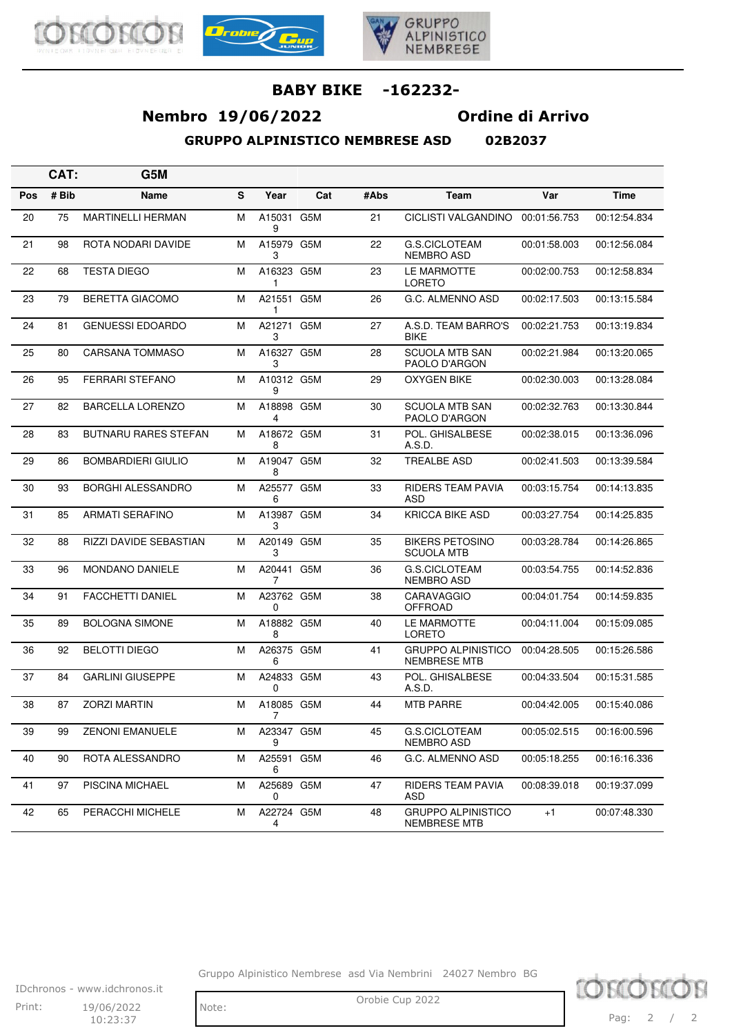





# **Nembro 19/06/2022 Ordine di Arrivo**

**GRUPPO ALPINISTICO NEMBRESE ASD** 

|  | 02B2037 |  |
|--|---------|--|

|            | CAT:  | G5M                         |   |                 |     |      |                                                  |              |              |
|------------|-------|-----------------------------|---|-----------------|-----|------|--------------------------------------------------|--------------|--------------|
| <b>Pos</b> | # Bib | Name                        | S | Year            | Cat | #Abs | Team                                             | Var          | <b>Time</b>  |
| 20         | 75    | <b>MARTINELLI HERMAN</b>    | M | A15031 G5M<br>9 |     | 21   | CICLISTI VALGANDINO                              | 00:01:56.753 | 00:12:54.834 |
| 21         | 98    | ROTA NODARI DAVIDE          | M | A15979 G5M<br>3 |     | 22   | G.S.CICLOTEAM<br>NEMBRO ASD                      | 00:01:58.003 | 00:12:56.084 |
| 22         | 68    | <b>TESTA DIEGO</b>          | M | A16323 G5M<br>1 |     | 23   | LE MARMOTTE<br><b>LORETO</b>                     | 00:02:00.753 | 00:12:58.834 |
| 23         | 79    | <b>BERETTA GIACOMO</b>      | M | A21551 G5M<br>1 |     | 26   | G.C. ALMENNO ASD                                 | 00:02:17.503 | 00:13:15.584 |
| 24         | 81    | <b>GENUESSI EDOARDO</b>     | M | A21271 G5M<br>3 |     | 27   | A.S.D. TEAM BARRO'S<br><b>BIKE</b>               | 00:02:21.753 | 00:13:19.834 |
| 25         | 80    | <b>CARSANA TOMMASO</b>      | M | A16327 G5M<br>3 |     | 28   | <b>SCUOLA MTB SAN</b><br>PAOLO D'ARGON           | 00:02:21.984 | 00:13:20.065 |
| 26         | 95    | FERRARI STEFANO             | M | A10312 G5M<br>9 |     | 29   | OXYGEN BIKE                                      | 00:02:30.003 | 00:13:28.084 |
| 27         | 82    | <b>BARCELLA LORENZO</b>     | M | A18898 G5M<br>4 |     | 30   | <b>SCUOLA MTB SAN</b><br>PAOLO D'ARGON           | 00:02:32.763 | 00:13:30.844 |
| 28         | 83    | <b>BUTNARU RARES STEFAN</b> | M | A18672 G5M<br>8 |     | 31   | POL. GHISALBESE<br>A.S.D.                        | 00:02:38.015 | 00:13:36.096 |
| 29         | 86    | <b>BOMBARDIERI GIULIO</b>   | M | A19047 G5M<br>8 |     | 32   | <b>TREALBE ASD</b>                               | 00:02:41.503 | 00:13:39.584 |
| 30         | 93    | <b>BORGHI ALESSANDRO</b>    | M | A25577 G5M<br>6 |     | 33   | <b>RIDERS TEAM PAVIA</b><br>ASD                  | 00:03:15.754 | 00:14:13.835 |
| 31         | 85    | <b>ARMATI SERAFINO</b>      | M | A13987 G5M<br>3 |     | 34   | <b>KRICCA BIKE ASD</b>                           | 00:03:27.754 | 00:14:25.835 |
| 32         | 88    | RIZZI DAVIDE SEBASTIAN      | M | A20149 G5M<br>3 |     | 35   | <b>BIKERS PETOSINO</b><br><b>SCUOLA MTB</b>      | 00:03:28.784 | 00:14:26.865 |
| 33         | 96    | <b>MONDANO DANIELE</b>      | M | A20441 G5M<br>7 |     | 36   | <b>G.S.CICLOTEAM</b><br><b>NEMBRO ASD</b>        | 00:03:54.755 | 00:14:52.836 |
| 34         | 91    | <b>FACCHETTI DANIEL</b>     | М | A23762 G5M<br>0 |     | 38   | CARAVAGGIO<br><b>OFFROAD</b>                     | 00:04:01.754 | 00:14:59.835 |
| 35         | 89    | <b>BOLOGNA SIMONE</b>       | M | A18882 G5M<br>8 |     | 40   | LE MARMOTTE<br>LORETO                            | 00:04:11.004 | 00:15:09.085 |
| 36         | 92    | <b>BELOTTI DIEGO</b>        | M | A26375 G5M<br>6 |     | 41   | <b>GRUPPO ALPINISTICO</b><br><b>NEMBRESE MTB</b> | 00:04:28.505 | 00:15:26.586 |
| 37         | 84    | <b>GARLINI GIUSEPPE</b>     | M | A24833 G5M<br>0 |     | 43   | POL. GHISALBESE<br>A.S.D.                        | 00:04:33.504 | 00:15:31.585 |
| 38         | 87    | <b>ZORZI MARTIN</b>         | M | A18085 G5M<br>7 |     | 44   | <b>MTB PARRE</b>                                 | 00:04:42.005 | 00:15:40.086 |
| 39         | 99    | <b>ZENONI EMANUELE</b>      | M | A23347 G5M<br>9 |     | 45   | G.S.CICLOTEAM<br>NEMBRO ASD                      | 00:05:02.515 | 00:16:00.596 |
| 40         | 90    | ROTA ALESSANDRO             | M | A25591 G5M<br>6 |     | 46   | G.C. ALMENNO ASD                                 | 00:05:18.255 | 00:16:16.336 |
| 41         | 97    | PISCINA MICHAEL             | M | A25689 G5M<br>0 |     | 47   | RIDERS TEAM PAVIA<br>ASD                         | 00:08:39.018 | 00:19:37.099 |
| 42         | 65    | PERACCHI MICHELE            | M | A22724 G5M<br>4 |     | 48   | <b>GRUPPO ALPINISTICO</b><br>NEMBRESE MTB        | $+1$         | 00:07:48.330 |

Gruppo Alpinistico Nembrese asd Via Nembrini 24027 Nembro BG

IDchronos - www.idchronos.it Print: 19/06/2022 Note: Orobie Cup 2022  $10:23:37$ 

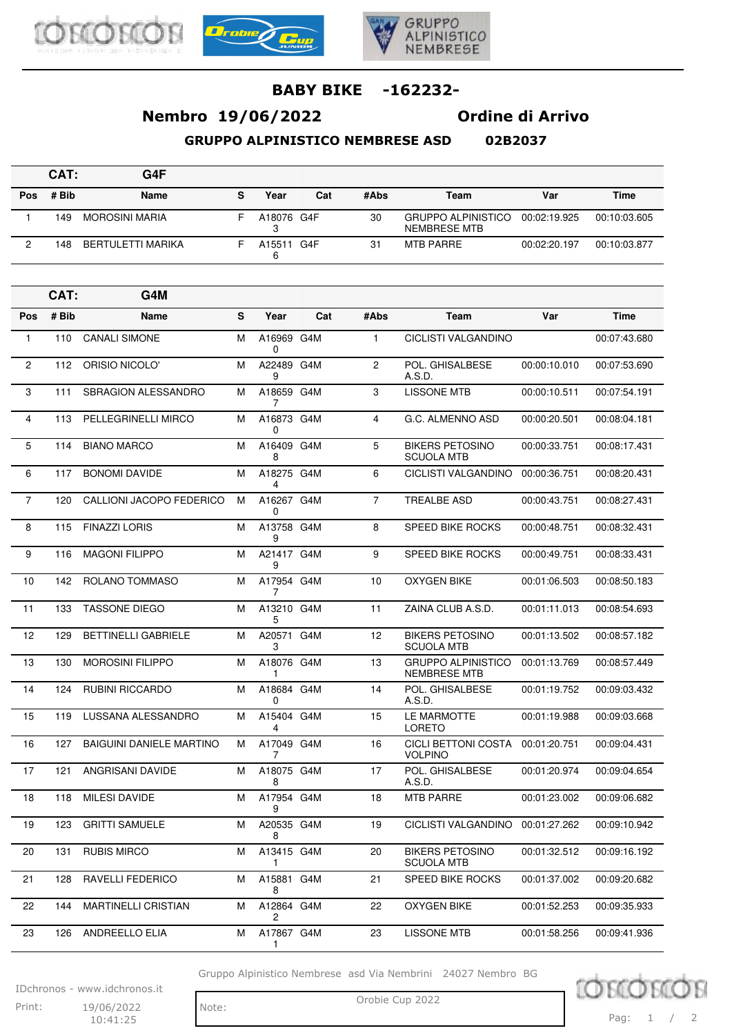





# **Nembro 19/06/2022 Ordine di Arrivo**

**GRUPPO ALPINISTICO NEMBRESE ASD 02B2037**

|     | CAT:  | G4F               |   |            |     |      |                                           |              |              |
|-----|-------|-------------------|---|------------|-----|------|-------------------------------------------|--------------|--------------|
| Pos | # Bib | <b>Name</b>       | s | Year       | Cat | #Abs | Team                                      | Var          | <b>Time</b>  |
|     | 149   | MOROSINI MARIA    |   | A18076 G4F |     | 30   | <b>GRUPPO ALPINISTICO</b><br>NEMBRESE MTB | 00:02:19.925 | 00:10:03.605 |
| ∩   | 148   | BERTULETTI MARIKA |   | A15511     | G4F | 31   | MTB PARRE                                 | 00:02:20.197 | 00:10:03.877 |

|                | CAT:  | G4M                             |   |                      |     |                |                                                  |              |              |
|----------------|-------|---------------------------------|---|----------------------|-----|----------------|--------------------------------------------------|--------------|--------------|
| Pos            | # Bib | Name                            | S | Year                 | Cat | #Abs           | Team                                             | Var          | <b>Time</b>  |
| 1              | 110   | <b>CANALI SIMONE</b>            | М | A16969 G4M<br>0      |     | 1              | CICLISTI VALGANDINO                              |              | 00:07:43.680 |
| $\overline{2}$ | 112   | ORISIO NICOLO'                  | М | A22489 G4M<br>9      |     | 2              | POL. GHISALBESE<br>A.S.D.                        | 00:00:10.010 | 00:07:53.690 |
| 3              | 111   | <b>SBRAGION ALESSANDRO</b>      | М | A18659 G4M<br>7      |     | 3              | <b>LISSONE MTB</b>                               | 00:00:10.511 | 00:07:54.191 |
| $\overline{4}$ | 113   | PELLEGRINELLI MIRCO             | м | A16873 G4M<br>0      |     | $\overline{4}$ | G.C. ALMENNO ASD                                 | 00:00:20.501 | 00:08:04.181 |
| 5              | 114   | <b>BIANO MARCO</b>              | м | A16409 G4M<br>8      |     | 5              | <b>BIKERS PETOSINO</b><br><b>SCUOLA MTB</b>      | 00:00:33.751 | 00:08:17.431 |
| 6              | 117   | <b>BONOMI DAVIDE</b>            | М | A18275 G4M<br>4      |     | 6              | CICLISTI VALGANDINO                              | 00:00:36.751 | 00:08:20.431 |
| $\overline{7}$ | 120   | CALLIONI JACOPO FEDERICO        | М | A16267 G4M<br>0      |     | $\overline{7}$ | <b>TREALBE ASD</b>                               | 00:00:43.751 | 00:08:27.431 |
| 8              | 115   | <b>FINAZZI LORIS</b>            | М | A13758 G4M<br>9      |     | 8              | <b>SPEED BIKE ROCKS</b>                          | 00:00:48.751 | 00:08:32.431 |
| 9              | 116   | <b>MAGONI FILIPPO</b>           | м | A21417 G4M<br>9      |     | 9              | <b>SPEED BIKE ROCKS</b>                          | 00:00:49.751 | 00:08:33.431 |
| 10             | 142   | ROLANO TOMMASO                  | м | A17954 G4M<br>7      |     | 10             | <b>OXYGEN BIKE</b>                               | 00:01:06.503 | 00:08:50.183 |
| 11             | 133   | <b>TASSONE DIEGO</b>            | м | A13210 G4M<br>5      |     | 11             | ZAINA CLUB A.S.D.                                | 00:01:11.013 | 00:08:54.693 |
| 12             | 129   | <b>BETTINELLI GABRIELE</b>      | М | A20571 G4M<br>3      |     | 12             | <b>BIKERS PETOSINO</b><br><b>SCUOLA MTB</b>      | 00:01:13.502 | 00:08:57.182 |
| 13             | 130   | <b>MOROSINI FILIPPO</b>         | М | A18076 G4M<br>1      |     | 13             | <b>GRUPPO ALPINISTICO</b><br><b>NEMBRESE MTB</b> | 00:01:13.769 | 00:08:57.449 |
| 14             | 124   | <b>RUBINI RICCARDO</b>          | М | A18684 G4M<br>0      |     | 14             | POL. GHISALBESE<br>A.S.D.                        | 00:01:19.752 | 00:09:03.432 |
| 15             | 119   | LUSSANA ALESSANDRO              | М | A15404 G4M<br>4      |     | 15             | LE MARMOTTE<br><b>LORETO</b>                     | 00:01:19.988 | 00:09:03.668 |
| 16             | 127   | <b>BAIGUINI DANIELE MARTINO</b> | м | A17049 G4M<br>7      |     | 16             | <b>CICLI BETTONI COSTA</b><br><b>VOLPINO</b>     | 00:01:20.751 | 00:09:04.431 |
| 17             | 121   | ANGRISANI DAVIDE                | м | A18075 G4M<br>8      |     | 17             | POL. GHISALBESE<br>A.S.D.                        | 00:01:20.974 | 00:09:04.654 |
| 18             | 118   | <b>MILESI DAVIDE</b>            | М | A17954 G4M<br>9      |     | 18             | <b>MTB PARRE</b>                                 | 00:01:23.002 | 00:09:06.682 |
| 19             | 123   | <b>GRITTI SAMUELE</b>           | м | A20535 G4M<br>8      |     | 19             | CICLISTI VALGANDINO                              | 00:01:27.262 | 00:09:10.942 |
| 20             | 131   | <b>RUBIS MIRCO</b>              | м | A13415 G4M<br>1      |     | 20             | <b>BIKERS PETOSINO</b><br><b>SCUOLA MTB</b>      | 00:01:32.512 | 00:09:16.192 |
| 21             | 128   | RAVELLI FEDERICO                | м | A15881 G4M<br>8      |     | 21             | SPEED BIKE ROCKS                                 | 00:01:37.002 | 00:09:20.682 |
| 22             | 144   | <b>MARTINELLI CRISTIAN</b>      | м | A12864 G4M<br>$^{2}$ |     | 22             | <b>OXYGEN BIKE</b>                               | 00:01:52.253 | 00:09:35.933 |
| 23             | 126   | ANDREELLO ELIA                  | м | A17867 G4M<br>1      |     | 23             | LISSONE MTB                                      | 00:01:58.256 | 00:09:41.936 |

Gruppo Alpinistico Nembrese asd Via Nembrini 24027 Nembro BG

IDchronos - www.idchronos.it Print: 19/06/2022 Note: Orobie Cup 2022 19/06/2022

10:41:25

Note:

10 Pag: 1 / 2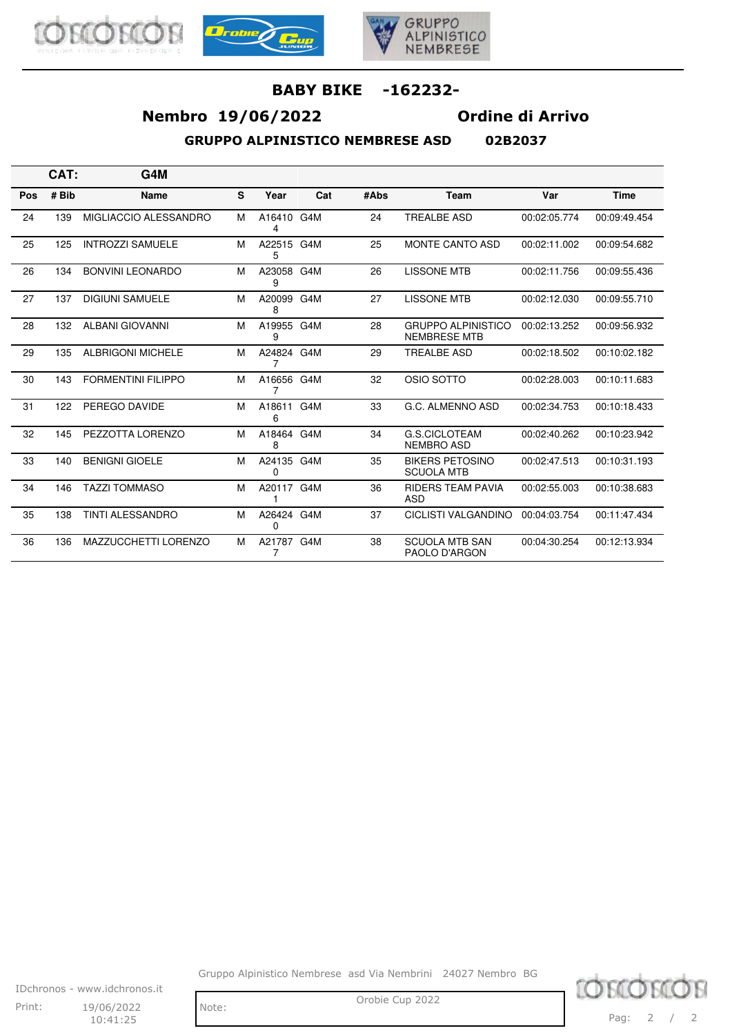





## **Nembro 19/06/2022 Ordine di Arrivo**

**GRUPPO ALPINISTICO NEMBRESE ASD 02B2037**

|  | 8383837 |  |
|--|---------|--|

**CAT: G4M Pos # Bib Name S Year Cat #Abs Team Var Time** 24 139 MIGLIACCIO ALESSANDRO M A16410 G4M 4 24 TREALBE ASD 00:02:05.774 00:09:49.454 25 125 INTROZZI SAMUELE M A22515 G4M 5 G4M 25 MONTE CANTO ASD 00:02:11.002 00:09:54.682 26 134 BONVINI LEONARDO M A23058 G4M 9 G4M 26 LISSONE MTB 00:02:11.756 00:09:55.436 27 137 DIGIUNI SAMUELE M A20099 G4M 8 27 LISSONE MTB 00:02:12.030 00:09:55.710 28 132 ALBANI GIOVANNI MA19955 G4M 9 28 GRUPPO ALPINISTICO NEMBRESE MTB 00:02:13.252 00:09:56.932 29 135 ALBRIGONI MICHELE M A24824 G4M 7 G4M 29 TREALBE ASD 00:02:18.502 00:10:02.182 30 143 FORMENTINI FILIPPO M A16656 G4M 7 G4M 32 OSIO SOTTO 00:02:28.003 00:10:11.683 31 122 PEREGO DAVIDE M A18611 G4M 6 G4M 33 G.C. ALMENNO ASD 00:02:34.753 00:10:18.433 32 145 PEZZOTTA LORENZO M A18464 G4M 8 34 G.S.CICLOTEAM NEMBRO ASD 00:02:40.262 00:10:23.942 33 140 BENIGNI GIOELE M A24135 G4M 0 35 BIKERS PETOSINO SCUOLA MTB 00:02:47.513 00:10:31.193 34 146 TAZZI TOMMASO M A20117 G4M 1 36 RIDERS TEAM PAVIA ASD 00:02:55.003 00:10:38.683 35 138 TINTI ALESSANDRO M A26424 G4M 0 37 CICLISTI VALGANDINO 00:04:03.754 00:11:47.434 36 136 MAZZUCCHETTI LORENZO M A21787 G4M 7 38 SCUOLA MTB SAN PAOLO D'ARGON 00:04:30.254 00:12:13.934

Gruppo Alpinistico Nembrese asd Via Nembrini 24027 Nembro BG



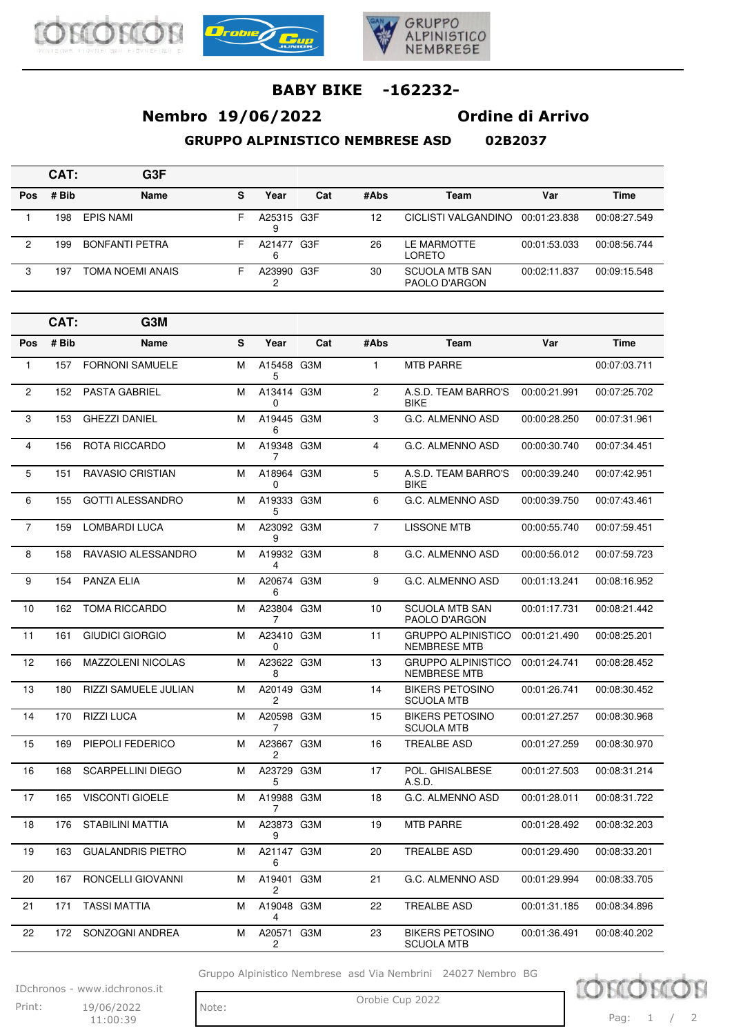





# **Nembro 19/06/2022 Ordine di Arrivo**

**GRUPPO ALPINISTICO NEMBRESE ASD 02B2037**

|     | CAT:  | G3F                   |    |                 |     |      |                                        |              |              |
|-----|-------|-----------------------|----|-----------------|-----|------|----------------------------------------|--------------|--------------|
| Pos | # Bib | Name                  | s  | Year            | Cat | #Abs | Team                                   | Var          | Time         |
|     | 198   | EPIS NAMI             | F. | A25315 G3F<br>9 |     | 12   | CICLISTI VALGANDINO                    | 00:01:23.838 | 00:08:27.549 |
| 2   | 199   | <b>BONFANTI PETRA</b> | F  | A21477 G3F<br>6 |     | 26   | LE MARMOTTE<br>LORETO                  | 00:01:53.033 | 00:08:56.744 |
| 3   | 197   | TOMA NOEMI ANAIS      |    | A23990 G3F      |     | 30   | <b>SCUOLA MTB SAN</b><br>PAOLO D'ARGON | 00:02:11.837 | 00:09:15.548 |

|                | CAT:  | G3M                      |   |                              |     |                |                                                  |              |              |
|----------------|-------|--------------------------|---|------------------------------|-----|----------------|--------------------------------------------------|--------------|--------------|
| Pos            | # Bib | Name                     | S | Year                         | Cat | #Abs           | Team                                             | Var          | <b>Time</b>  |
| $\mathbf{1}$   | 157   | <b>FORNONI SAMUELE</b>   | M | A15458 G3M<br>5              |     | $\mathbf{1}$   | <b>MTB PARRE</b>                                 |              | 00:07:03.711 |
| $\mathbf{2}$   | 152   | <b>PASTA GABRIEL</b>     | M | A13414 G3M<br>0              |     | $\overline{2}$ | A.S.D. TEAM BARRO'S<br><b>BIKE</b>               | 00:00:21.991 | 00:07:25.702 |
| 3              | 153   | <b>GHEZZI DANIEL</b>     | M | A19445 G3M<br>6              |     | 3              | G.C. ALMENNO ASD                                 | 00:00:28.250 | 00:07:31.961 |
| 4              | 156   | ROTA RICCARDO            | M | A19348 G3M<br>7              |     | 4              | G.C. ALMENNO ASD                                 | 00:00:30.740 | 00:07:34.451 |
| 5              | 151   | <b>RAVASIO CRISTIAN</b>  | M | A18964 G3M<br>0              |     | 5              | A.S.D. TEAM BARRO'S<br><b>BIKE</b>               | 00:00:39.240 | 00:07:42.951 |
| 6              | 155   | <b>GOTTI ALESSANDRO</b>  | М | A19333 G3M<br>5              |     | 6              | G.C. ALMENNO ASD                                 | 00:00:39.750 | 00:07:43.461 |
| $\overline{7}$ | 159   | LOMBARDI LUCA            | М | A23092 G3M<br>9              |     | $\overline{7}$ | <b>LISSONE MTB</b>                               | 00:00:55.740 | 00:07:59.451 |
| 8              | 158   | RAVASIO ALESSANDRO       | M | A19932 G3M<br>4              |     | 8              | G.C. ALMENNO ASD                                 | 00:00:56.012 | 00:07:59.723 |
| 9              | 154   | <b>PANZA ELIA</b>        | M | A20674 G3M<br>6              |     | 9              | G.C. ALMENNO ASD                                 | 00:01:13.241 | 00:08:16.952 |
| 10             | 162   | <b>TOMA RICCARDO</b>     | М | A23804 G3M<br>7              |     | 10             | <b>SCUOLA MTB SAN</b><br>PAOLO D'ARGON           | 00:01:17.731 | 00:08:21.442 |
| 11             | 161   | GIUDICI GIORGIO          | M | A23410 G3M<br>0              |     | 11             | <b>GRUPPO ALPINISTICO</b><br><b>NEMBRESE MTB</b> | 00:01:21.490 | 00:08:25.201 |
| 12             | 166   | MAZZOLENI NICOLAS        | М | A23622 G3M<br>8              |     | 13             | <b>GRUPPO ALPINISTICO</b><br><b>NEMBRESE MTB</b> | 00:01:24.741 | 00:08:28.452 |
| 13             | 180   | RIZZI SAMUELE JULIAN     | м | A20149 G3M<br>2              |     | 14             | <b>BIKERS PETOSINO</b><br><b>SCUOLA MTB</b>      | 00:01:26.741 | 00:08:30.452 |
| 14             | 170   | <b>RIZZI LUCA</b>        | M | A20598 G3M<br>7              |     | 15             | <b>BIKERS PETOSINO</b><br><b>SCUOLA MTB</b>      | 00:01:27.257 | 00:08:30.968 |
| 15             | 169   | PIEPOLI FEDERICO         | М | A23667 G3M<br>$\overline{2}$ |     | 16             | <b>TREALBE ASD</b>                               | 00:01:27.259 | 00:08:30.970 |
| 16             | 168   | <b>SCARPELLINI DIEGO</b> | м | A23729 G3M<br>5              |     | 17             | POL. GHISALBESE<br>A.S.D.                        | 00:01:27.503 | 00:08:31.214 |
| 17             | 165   | <b>VISCONTI GIOELE</b>   | М | A19988 G3M<br>7              |     | 18             | G.C. ALMENNO ASD                                 | 00:01:28.011 | 00:08:31.722 |
| 18             | 176   | <b>STABILINI MATTIA</b>  | М | A23873 G3M<br>9              |     | 19             | <b>MTB PARRE</b>                                 | 00:01:28.492 | 00:08:32.203 |
| 19             | 163   | <b>GUALANDRIS PIETRO</b> | M | A21147 G3M<br>6              |     | 20             | <b>TREALBE ASD</b>                               | 00:01:29.490 | 00:08:33.201 |
| 20             | 167   | RONCELLI GIOVANNI        | М | A19401<br>2                  | G3M | 21             | G.C. ALMENNO ASD                                 | 00:01:29.994 | 00:08:33.705 |
| 21             | 171   | <b>TASSI MATTIA</b>      | М | A19048 G3M<br>4              |     | 22             | <b>TREALBE ASD</b>                               | 00:01:31.185 | 00:08:34.896 |
| 22             | 172   | SONZOGNI ANDREA          | М | A20571 G3M<br>2              |     | 23             | <b>BIKERS PETOSINO</b><br><b>SCUOLA MTB</b>      | 00:01:36.491 | 00:08:40.202 |

Gruppo Alpinistico Nembrese asd Via Nembrini 24027 Nembro BG

IDchronos - www.idchronos.it Print: 19/06/2022 Note: Orobie Cup 2022 19/06/2022

11:00:39

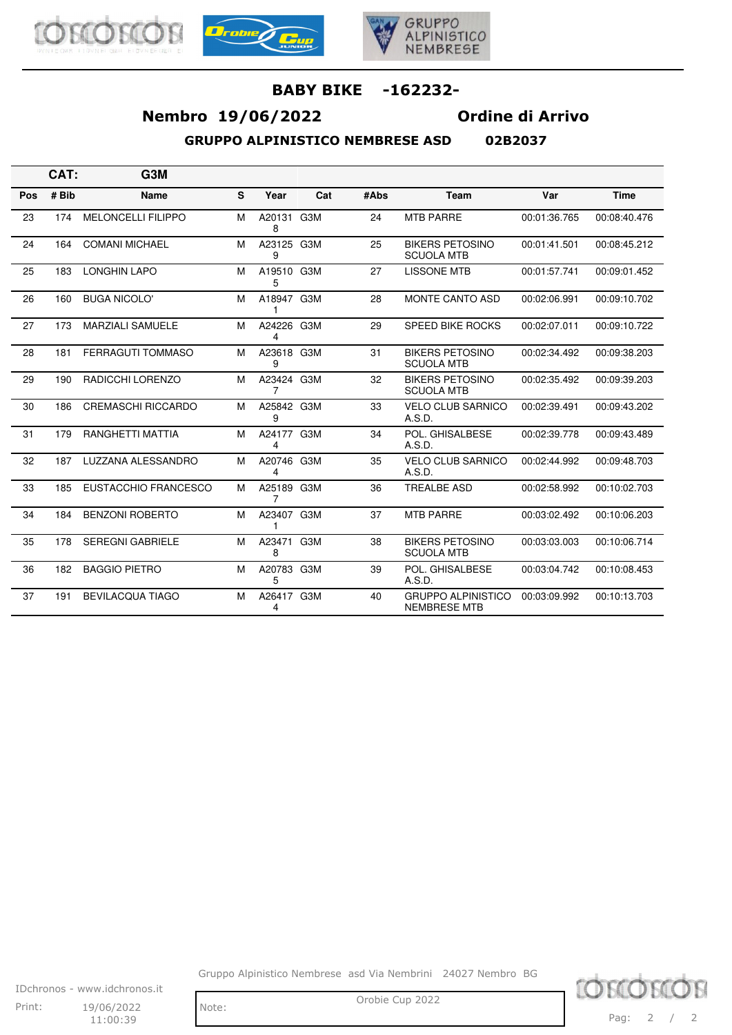





# **Nembro 19/06/2022 Ordine di Arrivo**

**GRUPPO ALPINISTICO NEMBRESE ASD 02B2037**

|  | <b>NJRJN37</b> |  |
|--|----------------|--|

|     | CAT:  | G <sub>3</sub> M          |   |                 |     |      |                                                  |              |              |
|-----|-------|---------------------------|---|-----------------|-----|------|--------------------------------------------------|--------------|--------------|
| Pos | # Bib | Name                      | S | Year            | Cat | #Abs | Team                                             | Var          | <b>Time</b>  |
| 23  | 174   | <b>MELONCELLI FILIPPO</b> | M | A20131 G3M<br>8 |     | 24   | <b>MTB PARRE</b>                                 | 00:01:36.765 | 00:08:40.476 |
| 24  | 164   | <b>COMANI MICHAEL</b>     | M | A23125 G3M<br>9 |     | 25   | <b>BIKERS PETOSINO</b><br><b>SCUOLA MTB</b>      | 00:01:41.501 | 00:08:45.212 |
| 25  | 183   | <b>LONGHIN LAPO</b>       | M | A19510 G3M<br>5 |     | 27   | <b>LISSONE MTB</b>                               | 00:01:57.741 | 00:09:01.452 |
| 26  | 160   | <b>BUGA NICOLO'</b>       | M | A18947 G3M<br>1 |     | 28   | <b>MONTE CANTO ASD</b>                           | 00:02:06.991 | 00:09:10.702 |
| 27  | 173   | <b>MARZIALI SAMUELE</b>   | M | A24226 G3M<br>4 |     | 29   | SPEED BIKE ROCKS                                 | 00:02:07.011 | 00:09:10.722 |
| 28  | 181   | <b>FERRAGUTI TOMMASO</b>  | M | A23618 G3M<br>9 |     | 31   | <b>BIKERS PETOSINO</b><br><b>SCUOLA MTB</b>      | 00:02:34.492 | 00:09:38.203 |
| 29  | 190   | RADICCHI LORENZO          | M | A23424 G3M<br>7 |     | 32   | <b>BIKERS PETOSINO</b><br><b>SCUOLA MTB</b>      | 00:02:35.492 | 00:09:39.203 |
| 30  | 186   | <b>CREMASCHI RICCARDO</b> | M | A25842 G3M<br>9 |     | 33   | <b>VELO CLUB SARNICO</b><br>A.S.D.               | 00:02:39.491 | 00:09:43.202 |
| 31  | 179   | <b>RANGHETTI MATTIA</b>   | M | A24177 G3M<br>4 |     | 34   | POL. GHISALBESE<br>A.S.D.                        | 00:02:39.778 | 00:09:43.489 |
| 32  | 187   | LUZZANA ALESSANDRO        | M | A20746 G3M<br>4 |     | 35   | <b>VELO CLUB SARNICO</b><br>A.S.D.               | 00:02:44.992 | 00:09:48.703 |
| 33  | 185   | EUSTACCHIO FRANCESCO      | M | A25189 G3M<br>7 |     | 36   | <b>TREALBE ASD</b>                               | 00:02:58.992 | 00:10:02.703 |
| 34  | 184   | <b>BENZONI ROBERTO</b>    | м | A23407 G3M<br>1 |     | 37   | <b>MTB PARRE</b>                                 | 00:03:02.492 | 00:10:06.203 |
| 35  | 178   | <b>SEREGNI GABRIELE</b>   | M | A23471<br>8     | G3M | 38   | <b>BIKERS PETOSINO</b><br><b>SCUOLA MTB</b>      | 00:03:03.003 | 00:10:06.714 |
| 36  | 182   | <b>BAGGIO PIETRO</b>      | M | A20783 G3M<br>5 |     | 39   | POL. GHISALBESE<br>A.S.D.                        | 00:03:04.742 | 00:10:08.453 |
| 37  | 191   | <b>BEVILACQUA TIAGO</b>   | M | A26417 G3M<br>4 |     | 40   | <b>GRUPPO ALPINISTICO</b><br><b>NEMBRESE MTB</b> | 00:03:09.992 | 00:10:13.703 |

Gruppo Alpinistico Nembrese asd Via Nembrini 24027 Nembro BG



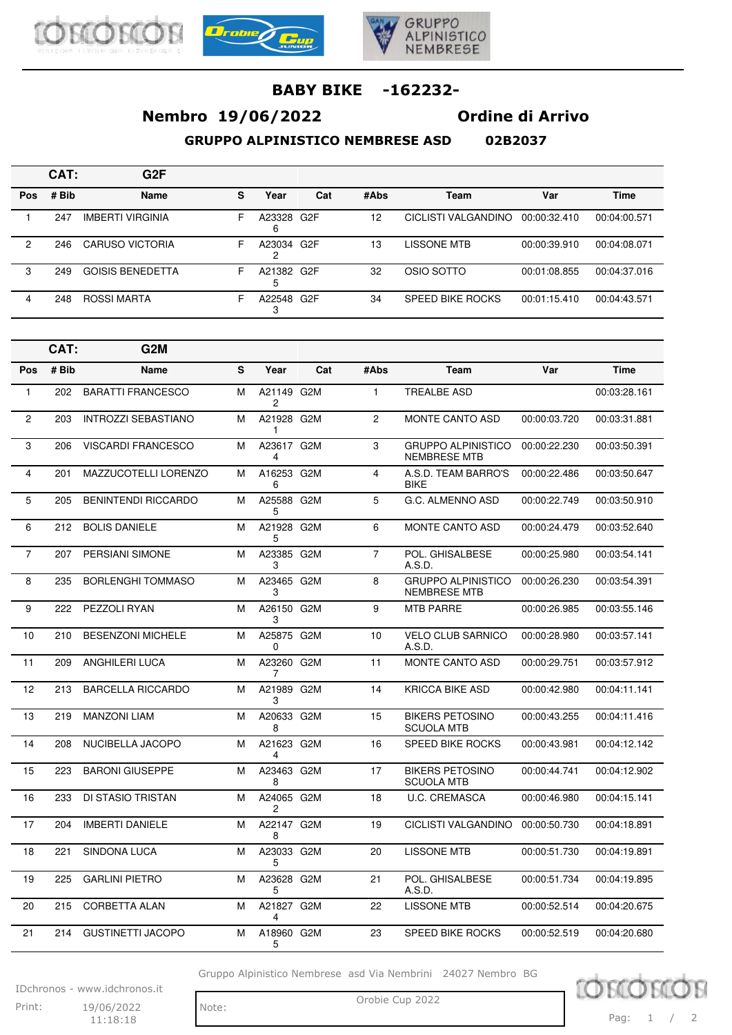





# **Nembro 19/06/2022 Ordine di Arrivo**

**GRUPPO ALPINISTICO NEMBRESE ASD 02B2037**

|            | CAT:  | G2F                     |    |            |     |      |                     |              |              |
|------------|-------|-------------------------|----|------------|-----|------|---------------------|--------------|--------------|
| <b>Pos</b> | # Bib | Name                    | s  | Year       | Cat | #Abs | Team                | Var          | <b>Time</b>  |
|            | 247   | <b>IMBERTI VIRGINIA</b> | F. | A23328 G2F |     | 12   | CICLISTI VALGANDINO | 00:00:32.410 | 00:04:00.571 |
| 2          | 246   | <b>CARUSO VICTORIA</b>  | F. | A23034 G2F |     | 13   | LISSONE MTB         | 00:00:39.910 | 00:04:08.071 |
| 3          | 249   | <b>GOISIS BENEDETTA</b> | F. | A21382 G2F |     | 32   | OSIO SOTTO          | 00:01:08.855 | 00:04:37.016 |
| 4          | 248   | ROSSI MARTA             | F  | A22548 G2F |     | 34   | SPEED BIKE ROCKS    | 00:01:15.410 | 00:04:43.571 |

|                | CAT:  | G <sub>2</sub> M            |   |                  |     |                |                                                  |              |              |
|----------------|-------|-----------------------------|---|------------------|-----|----------------|--------------------------------------------------|--------------|--------------|
| Pos            | # Bib | <b>Name</b>                 | S | Year             | Cat | #Abs           | Team                                             | Var          | <b>Time</b>  |
| $\mathbf{1}$   | 202   | <b>BARATTI FRANCESCO</b>    | м | A21149 G2M<br>2  |     | 1              | <b>TREALBE ASD</b>                               |              | 00:03:28.161 |
| $\overline{2}$ | 203   | <b>INTROZZI SEBASTIANO</b>  | м | A21928 G2M<br>1  |     | $\overline{c}$ | <b>MONTE CANTO ASD</b>                           | 00:00:03.720 | 00:03:31.881 |
| 3              | 206   | <b>VISCARDI FRANCESCO</b>   | M | A23617 G2M<br>4  |     | 3              | <b>GRUPPO ALPINISTICO</b><br><b>NEMBRESE MTB</b> | 00:00:22.230 | 00:03:50.391 |
| 4              | 201   | <b>MAZZUCOTELLI LORENZO</b> | м | A16253 G2M<br>6  |     | $\overline{4}$ | A.S.D. TEAM BARRO'S<br><b>BIKE</b>               | 00:00:22.486 | 00:03:50.647 |
| 5              | 205   | <b>BENINTENDI RICCARDO</b>  | м | A25588 G2M<br>5  |     | 5              | G.C. ALMENNO ASD                                 | 00:00:22.749 | 00:03:50.910 |
| 6              | 212   | <b>BOLIS DANIELE</b>        | м | A21928 G2M<br>5  |     | 6              | <b>MONTE CANTO ASD</b>                           | 00:00:24.479 | 00:03:52.640 |
| $\overline{7}$ | 207   | <b>PERSIANI SIMONE</b>      | м | A23385 G2M<br>3  |     | $\overline{7}$ | POL. GHISALBESE<br>A.S.D.                        | 00:00:25.980 | 00:03:54.141 |
| 8              | 235   | <b>BORLENGHI TOMMASO</b>    | M | A23465 G2M<br>3  |     | 8              | <b>GRUPPO ALPINISTICO</b><br><b>NEMBRESE MTB</b> | 00:00:26.230 | 00:03:54.391 |
| 9              | 222   | PEZZOLI RYAN                | M | A26150 G2M<br>3  |     | 9              | <b>MTB PARRE</b>                                 | 00:00:26.985 | 00:03:55.146 |
| 10             | 210   | <b>BESENZONI MICHELE</b>    | M | A25875 G2M<br>0  |     | 10             | <b>VELO CLUB SARNICO</b><br>A.S.D.               | 00:00:28.980 | 00:03:57.141 |
| 11             | 209   | <b>ANGHILERI LUCA</b>       | M | A23260 G2M<br>7  |     | 11             | <b>MONTE CANTO ASD</b>                           | 00:00:29.751 | 00:03:57.912 |
| 12             | 213   | <b>BARCELLA RICCARDO</b>    | M | A21989 G2M<br>3  |     | 14             | <b>KRICCA BIKE ASD</b>                           | 00:00:42.980 | 00:04:11.141 |
| 13             | 219   | <b>MANZONI LIAM</b>         | M | A20633 G2M<br>8  |     | 15             | <b>BIKERS PETOSINO</b><br><b>SCUOLA MTB</b>      | 00:00:43.255 | 00:04:11.416 |
| 14             | 208   | NUCIBELLA JACOPO            | M | A21623 G2M<br>4  |     | 16             | <b>SPEED BIKE ROCKS</b>                          | 00:00:43.981 | 00:04:12.142 |
| 15             | 223   | <b>BARONI GIUSEPPE</b>      | M | A23463 G2M<br>8  |     | 17             | <b>BIKERS PETOSINO</b><br><b>SCUOLA MTB</b>      | 00:00:44.741 | 00:04:12.902 |
| 16             | 233   | DI STASIO TRISTAN           | M | A24065 G2M<br>2  |     | 18             | <b>U.C. CREMASCA</b>                             | 00:00:46.980 | 00:04:15.141 |
| 17             | 204   | <b>IMBERTI DANIELE</b>      | M | A22147 G2M<br>8  |     | 19             | <b>CICLISTI VALGANDINO</b>                       | 00:00:50.730 | 00:04:18.891 |
| 18             | 221   | <b>SINDONA LUCA</b>         | M | A23033 G2M<br>5  |     | 20             | <b>LISSONE MTB</b>                               | 00:00:51.730 | 00:04:19.891 |
| 19             | 225   | <b>GARLINI PIETRO</b>       | M | A23628 G2M<br>5  |     | 21             | POL. GHISALBESE<br>A.S.D.                        | 00:00:51.734 | 00:04:19.895 |
| 20             | 215   | <b>CORBETTA ALAN</b>        | M | A21827 G2M<br>4  |     | 22             | <b>LISSONE MTB</b>                               | 00:00:52.514 | 00:04:20.675 |
| 21             | 214   | <b>GUSTINETTI JACOPO</b>    | м | A18960 G2M<br>5. |     | 23             | <b>SPEED BIKE ROCKS</b>                          | 00:00:52.519 | 00:04:20.680 |

Gruppo Alpinistico Nembrese asd Via Nembrini 24027 Nembro BG

IDchronos - www.idchronos.it Print: 19/06/2022 Note: Orobie Cup 2022 19/06/2022

11:18:18

Note:

**LOBI** 

Pag: 1 / 2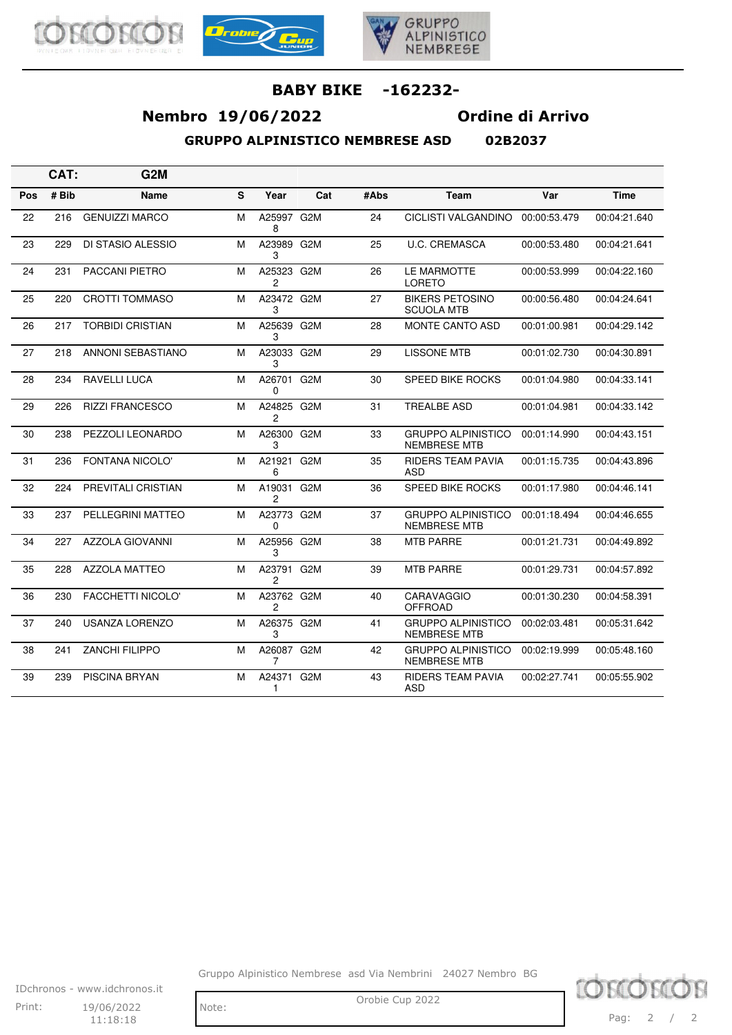





# **Nembro 19/06/2022 Ordine di Arrivo**

**GRUPPO ALPINISTICO NEMBRESE ASD 02B2037**

|  | <b>NJRJN37</b> |  |
|--|----------------|--|

|     | CAT:  | G <sub>2</sub> M         |   |                              |     |      |                                                  |              |              |
|-----|-------|--------------------------|---|------------------------------|-----|------|--------------------------------------------------|--------------|--------------|
| Pos | # Bib | Name                     | S | Year                         | Cat | #Abs | Team                                             | Var          | <b>Time</b>  |
| 22  | 216   | <b>GENUIZZI MARCO</b>    | М | A25997 G2M<br>8              |     | 24   | <b>CICLISTI VALGANDINO</b>                       | 00:00:53.479 | 00:04:21.640 |
| 23  | 229   | <b>DI STASIO ALESSIO</b> | М | A23989 G2M<br>З              |     | 25   | <b>U.C. CREMASCA</b>                             | 00:00:53.480 | 00:04:21.641 |
| 24  | 231   | PACCANI PIETRO           | М | A25323 G2M<br>2              |     | 26   | LE MARMOTTE<br><b>LORETO</b>                     | 00:00:53.999 | 00:04:22.160 |
| 25  | 220   | CROTTI TOMMASO           | м | A23472 G2M<br>3              |     | 27   | <b>BIKERS PETOSINO</b><br><b>SCUOLA MTB</b>      | 00:00:56.480 | 00:04:24.641 |
| 26  | 217   | <b>TORBIDI CRISTIAN</b>  | м | A25639 G2M<br>3              |     | 28   | <b>MONTE CANTO ASD</b>                           | 00:01:00.981 | 00:04:29.142 |
| 27  | 218   | ANNONI SEBASTIANO        | М | A23033 G2M<br>3              |     | 29   | <b>LISSONE MTB</b>                               | 00:01:02.730 | 00:04:30.891 |
| 28  | 234   | <b>RAVELLI LUCA</b>      | м | A26701 G2M<br>0              |     | 30   | <b>SPEED BIKE ROCKS</b>                          | 00:01:04.980 | 00:04:33.141 |
| 29  | 226   | <b>RIZZI FRANCESCO</b>   | м | A24825 G2M<br>$\overline{c}$ |     | 31   | <b>TREALBE ASD</b>                               | 00:01:04.981 | 00:04:33.142 |
| 30  | 238   | PEZZOLI LEONARDO         | м | A26300 G2M<br>3              |     | 33   | <b>GRUPPO ALPINISTICO</b><br><b>NEMBRESE MTB</b> | 00:01:14.990 | 00:04:43.151 |
| 31  | 236   | <b>FONTANA NICOLO'</b>   | м | A21921 G2M<br>6              |     | 35   | <b>RIDERS TEAM PAVIA</b><br>ASD                  | 00:01:15.735 | 00:04:43.896 |
| 32  | 224   | PREVITALI CRISTIAN       | М | A19031 G2M<br>2              |     | 36   | <b>SPEED BIKE ROCKS</b>                          | 00:01:17.980 | 00:04:46.141 |
| 33  | 237   | PELLEGRINI MATTEO        | м | A23773 G2M<br>0              |     | 37   | <b>GRUPPO ALPINISTICO</b><br><b>NEMBRESE MTB</b> | 00:01:18.494 | 00:04:46.655 |
| 34  | 227   | <b>AZZOLA GIOVANNI</b>   | М | A25956 G2M<br>3              |     | 38   | <b>MTB PARRE</b>                                 | 00:01:21.731 | 00:04:49.892 |
| 35  | 228   | <b>AZZOLA MATTEO</b>     | M | A23791 G2M<br>$\overline{c}$ |     | 39   | <b>MTB PARRE</b>                                 | 00:01:29.731 | 00:04:57.892 |
| 36  | 230   | <b>FACCHETTI NICOLO'</b> | м | A23762 G2M<br>2              |     | 40   | <b>CARAVAGGIO</b><br><b>OFFROAD</b>              | 00:01:30.230 | 00:04:58.391 |
| 37  | 240   | <b>USANZA LORENZO</b>    | М | A26375 G2M<br>3              |     | 41   | <b>GRUPPO ALPINISTICO</b><br><b>NEMBRESE MTB</b> | 00:02:03.481 | 00:05:31.642 |
| 38  | 241   | <b>ZANCHI FILIPPO</b>    | м | A26087 G2M<br>7              |     | 42   | <b>GRUPPO ALPINISTICO</b><br><b>NEMBRESE MTB</b> | 00:02:19.999 | 00:05:48.160 |
| 39  | 239   | PISCINA BRYAN            | М | A24371 G2M<br>1              |     | 43   | <b>RIDERS TEAM PAVIA</b><br>ASD                  | 00:02:27.741 | 00:05:55.902 |

Gruppo Alpinistico Nembrese asd Via Nembrini 24027 Nembro BG



 $11:18:18$